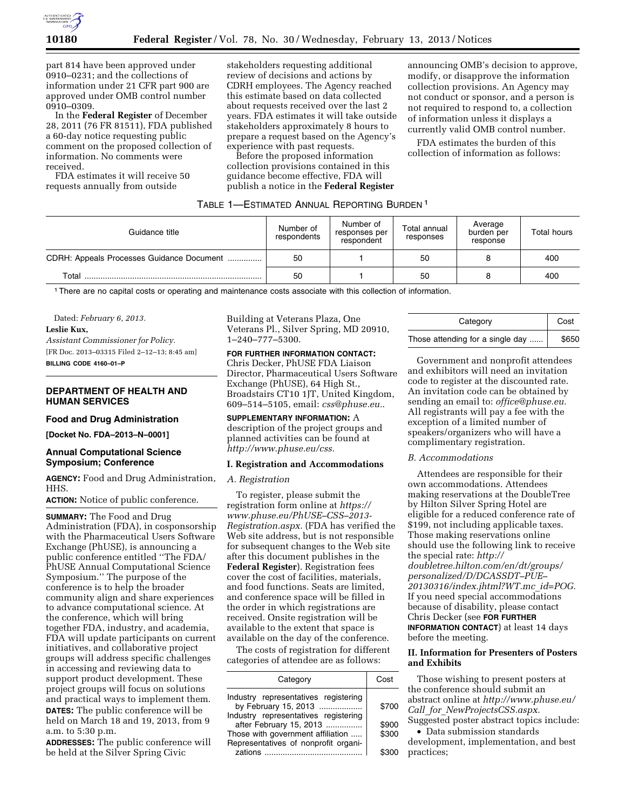

part 814 have been approved under 0910–0231; and the collections of information under 21 CFR part 900 are approved under OMB control number 0910–0309.

In the **Federal Register** of December 28, 2011 (76 FR 81511), FDA published a 60-day notice requesting public comment on the proposed collection of information. No comments were received.

FDA estimates it will receive 50 requests annually from outside

stakeholders requesting additional review of decisions and actions by CDRH employees. The Agency reached this estimate based on data collected about requests received over the last 2 years. FDA estimates it will take outside stakeholders approximately 8 hours to prepare a request based on the Agency's experience with past requests.

Before the proposed information collection provisions contained in this guidance become effective, FDA will publish a notice in the **Federal Register** 

announcing OMB's decision to approve, modify, or disapprove the information collection provisions. An Agency may not conduct or sponsor, and a person is not required to respond to, a collection of information unless it displays a currently valid OMB control number.

FDA estimates the burden of this collection of information as follows:

#### TABLE 1—ESTIMATED ANNUAL REPORTING BURDEN 1

| Guidance title                            | Number of<br>respondents | Number of<br>responses per<br>respondent | Total annual<br>responses | Average<br>burden per<br>response | Total hours |
|-------------------------------------------|--------------------------|------------------------------------------|---------------------------|-----------------------------------|-------------|
| CDRH: Appeals Processes Guidance Document | 50                       |                                          | 50                        |                                   | 400         |
| Total                                     | 50                       |                                          | 50                        |                                   | 400         |

1There are no capital costs or operating and maintenance costs associate with this collection of information.

Dated: *February 6, 2013.* 

**Leslie Kux,** 

*Assistant Commissioner for Policy.*  [FR Doc. 2013–03315 Filed 2–12–13; 8:45 am] **BILLING CODE 4160–01–P** 

## **DEPARTMENT OF HEALTH AND HUMAN SERVICES**

### **Food and Drug Administration**

**[Docket No. FDA–2013–N–0001]** 

## **Annual Computational Science Symposium; Conference**

**AGENCY:** Food and Drug Administration, HHS.

**ACTION:** Notice of public conference.

**SUMMARY:** The Food and Drug Administration (FDA), in cosponsorship with the Pharmaceutical Users Software Exchange (PhUSE), is announcing a public conference entitled ''The FDA/ PhUSE Annual Computational Science Symposium.'' The purpose of the conference is to help the broader community align and share experiences to advance computational science. At the conference, which will bring together FDA, industry, and academia, FDA will update participants on current initiatives, and collaborative project groups will address specific challenges in accessing and reviewing data to support product development. These project groups will focus on solutions and practical ways to implement them. **DATES:** The public conference will be held on March 18 and 19, 2013, from 9 a.m. to 5:30 p.m.

**ADDRESSES:** The public conference will be held at the Silver Spring Civic

Building at Veterans Plaza, One Veterans Pl., Silver Spring, MD 20910, 1–240–777–5300.

# **FOR FURTHER INFORMATION CONTACT:**

Chris Decker, PhUSE FDA Liaison Director, Pharmaceutical Users Software Exchange (PhUSE), 64 High St., Broadstairs CT10 1JT, United Kingdom, 609–514–5105, email: *[css@phuse.eu.](mailto:css@phuse.eu)*.

**SUPPLEMENTARY INFORMATION:** A description of the project groups and planned activities can be found at *[http://www.phuse.eu/css.](http://www.phuse.eu/css)* 

#### **I. Registration and Accommodations**

#### *A. Registration*

To register, please submit the registration form online at *[https://](https://www.phuse.eu/PhUSE-CSS-2013-Registration.aspx)  [www.phuse.eu/PhUSE–CSS–2013-](https://www.phuse.eu/PhUSE-CSS-2013-Registration.aspx) [Registration.aspx.](https://www.phuse.eu/PhUSE-CSS-2013-Registration.aspx)* (FDA has verified the Web site address, but is not responsible for subsequent changes to the Web site after this document publishes in the **Federal Register**). Registration fees cover the cost of facilities, materials, and food functions. Seats are limited, and conference space will be filled in the order in which registrations are received. Onsite registration will be available to the extent that space is available on the day of the conference.

The costs of registration for different categories of attendee are as follows:

| Category                             |       |  |
|--------------------------------------|-------|--|
| Industry representatives registering | \$700 |  |
| by February 15, 2013                 |       |  |
| Industry representatives registering |       |  |
| after February 15, 2013              | \$900 |  |
| Those with government affiliation    | \$300 |  |
| Representatives of nonprofit organi- |       |  |
| zations                              |       |  |

| Category                         | Cost  |
|----------------------------------|-------|
| Those attending for a single day | \$650 |

Government and nonprofit attendees and exhibitors will need an invitation code to register at the discounted rate. An invitation code can be obtained by sending an email to: *[office@phuse.eu.](mailto:office@phuse.eu)*  All registrants will pay a fee with the exception of a limited number of speakers/organizers who will have a complimentary registration.

#### *B. Accommodations*

Attendees are responsible for their own accommodations. Attendees making reservations at the DoubleTree by Hilton Silver Spring Hotel are eligible for a reduced conference rate of \$199, not including applicable taxes. Those making reservations online should use the following link to receive the special rate: *[http://](http://doubletree.hilton.com/en/dt/groups/personalized/D/DCASSDT-PUE-20130316/index.jhtml?WT.mc_id=POG)  [doubletree.hilton.com/en/dt/groups/](http://doubletree.hilton.com/en/dt/groups/personalized/D/DCASSDT-PUE-20130316/index.jhtml?WT.mc_id=POG)  [personalized/D/DCASSDT–PUE–](http://doubletree.hilton.com/en/dt/groups/personalized/D/DCASSDT-PUE-20130316/index.jhtml?WT.mc_id=POG)  [20130316/index.jhtml?WT.mc](http://doubletree.hilton.com/en/dt/groups/personalized/D/DCASSDT-PUE-20130316/index.jhtml?WT.mc_id=POG)*\_*id=POG.*  If you need special accommodations because of disability, please contact Chris Decker (see **FOR FURTHER INFORMATION CONTACT**) at least 14 days before the meeting.

# **II. Information for Presenters of Posters and Exhibits**

Those wishing to present posters at the conference should submit an abstract online at *[http://www.phuse.eu/](http://www.phuse.eu/Call_for_NewProjectsCSS.aspx)  Call*\_*for*\_*[NewProjectsCSS.aspx.](http://www.phuse.eu/Call_for_NewProjectsCSS.aspx)*  Suggested poster abstract topics include:

• Data submission standards

development, implementation, and best practices;